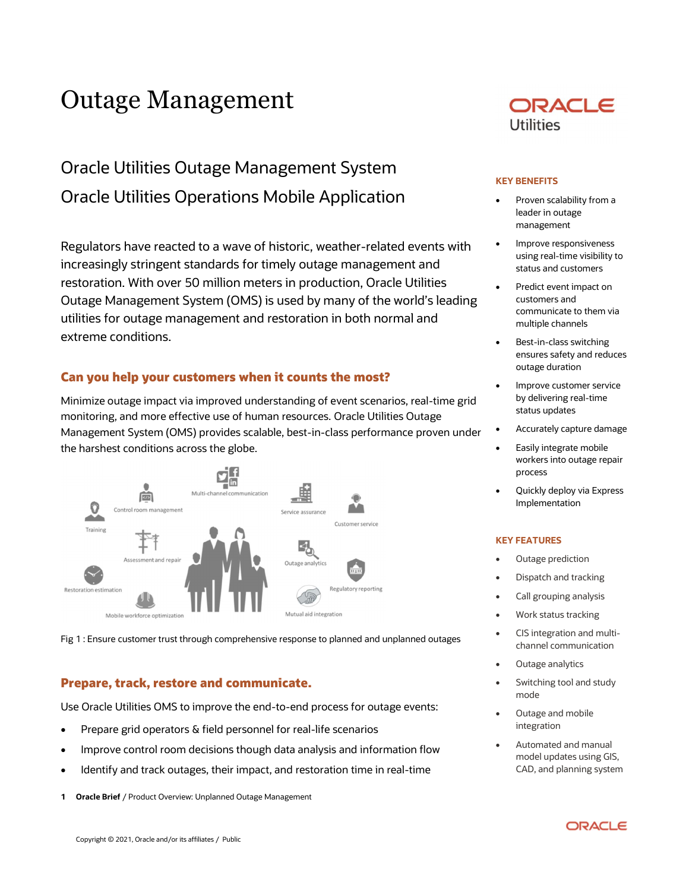# Outage Management

## Oracle Utilities Outage Management System Oracle Utilities Operations Mobile Application

 Regulators have reacted to a wave of historic, weather-related events with increasingly stringent standards for timely outage management and restoration. With over 50 million meters in production, Oracle Utilities Outage Management System (OMS) is used by many of the world's leading utilities for outage management and restoration in both normal and extreme conditions.

## Can you help your customers when it counts the most?

 Minimize outage impact via improved understanding of event scenarios, real-time grid monitoring, and more effective use of human resources. Oracle Utilities Outage Management System (OMS) provides scalable, best-in-class performance proven under the harshest conditions across the globe.



Fig 1 : Ensure customer trust through comprehensive response to planned and unplanned outages

## Prepare, track, restore and communicate.

Use Oracle Utilities OMS to improve the end-to-end process for outage events:

- Prepare grid operators & field personnel for real-life scenarios
- Improve control room decisions though data analysis and information flow
- Identify and track outages, their impact, and restoration time in real-time
- iOracle Brief / Product Overview: Unplanned Outage Management



#### KEY BENEFITS

- Proven scalability from a leader in outage management
- using real-time visibility to status and customers Improve responsiveness
- Predict event impact on customers and communicate to them via multiple channels
- **•** Best-in-class switching ensures safety and reduces outage duration
- **•** Improve customer service by delivering real-time status updates
- Accurately capture damage
- **•** Easily integrate mobile workers into outage repair process
- Quickly deploy via Express Implementation

#### KEY FEATURES

- Outage prediction
- Dispatch and tracking
- Call grouping analysis
- Work status tracking
- CIS integration and multichannel communication
- Outage analytics
- Switching tool and study mode
- Outage and mobile integration
- Automated and manual model updates using GIS, CAD, and planning system